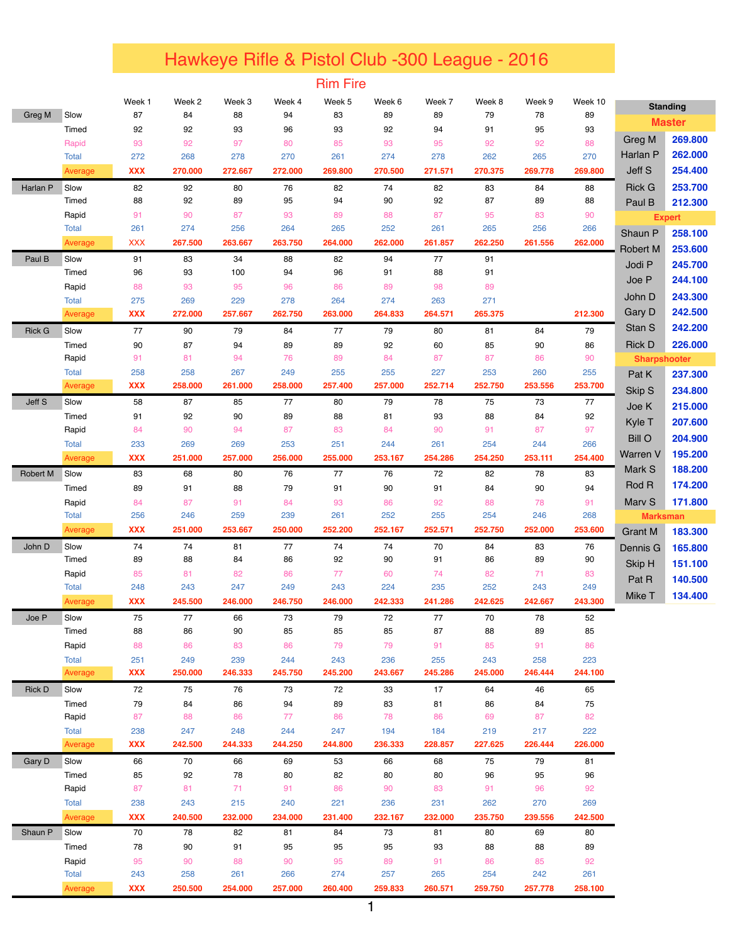## Hawkeye Rifle & Pistol Club -300 League - 2016

Rim Fire

|                 |                       | Week 1            | Week 2         | Week 3         | Week 4         | Week 5         | Week 6         | Week 7         | Week 8         | Week 9         | Week 10        |                     | <b>Standing</b> |
|-----------------|-----------------------|-------------------|----------------|----------------|----------------|----------------|----------------|----------------|----------------|----------------|----------------|---------------------|-----------------|
| Greg M          | Slow                  | 87                | 84             | 88             | 94             | 83             | 89             | 89             | 79             | 78             | 89             |                     | <b>Master</b>   |
|                 | Timed                 | 92                | 92             | 93             | 96             | 93             | 92             | 94             | 91             | 95             | 93             |                     |                 |
|                 | Rapid                 | 93                | 92             | 97             | 80             | 85             | 93             | 95             | 92             | 92             | 88             | <b>Greg M</b>       | 269.800         |
|                 | <b>Total</b>          | 272               | 268            | 278            | 270            | 261            | 274            | 278            | 262            | 265            | 270            | Harlan P            | 262.000         |
|                 | Average               | <b>XXX</b>        | 270.000        | 272.667        | 272.000        | 269.800        | 270,500        | 271.571        | 270.375        | 269.778        | 269,800        | Jeff S              | 254.400         |
| Harlan P        | Slow                  | 82                | 92             | 80             | 76             | 82             | 74             | 82             | 83             | 84             | 88             | <b>Rick G</b>       | 253.700         |
|                 | Timed                 | 88                | 92             | 89             | 95             | 94             | 90             | 92             | 87             | 89             | 88             | Paul B              | 212.300         |
|                 | Rapid                 | 91                | 90             | 87             | 93             | 89             | 88             | 87             | 95             | 83             | 90             |                     | <b>Expert</b>   |
|                 | <b>Total</b>          | 261               | 274            | 256            | 264            | 265            | 252            | 261            | 265            | 256            | 266            | Shaun P             | 258.100         |
|                 | Average               | <b>XXX</b>        | 267.500        | 263.667        | 263.750        | 264.000        | 262.000        | 261.857        | 262.250        | 261.556        | 262.000        | <b>Robert M</b>     | 253.600         |
| Paul B          | Slow                  | 91                | 83             | 34             | 88             | 82             | 94             | 77             | 91             |                |                | Jodi P              | 245.700         |
|                 | Timed                 | 96                | 93             | 100            | 94             | 96             | 91             | 88             | 91             |                |                |                     |                 |
|                 | Rapid                 | 88                | 93             | 95             | 96             | 86             | 89             | 98             | 89             |                |                | Joe P               | 244.100         |
|                 | <b>Total</b>          | 275               | 269            | 229            | 278            | 264            | 274            | 263            | 271            |                |                | John D              | 243.300         |
|                 | Average               | <b>XXX</b>        | 272.000        | 257.667        | 262.750        | 263.000        | 264.833        | 264.571        | 265.375        |                | 212.300        | Gary D              | 242.500         |
| <b>Rick G</b>   | Slow                  | 77                | 90             | 79             | 84             | 77             | 79             | 80             | 81             | 84             | 79             | Stan S              | 242.200         |
|                 | Timed                 | 90                | 87             | 94             | 89             | 89             | 92             | 60             | 85             | 90             | 86             | <b>Rick D</b>       | 226.000         |
|                 | Rapid                 | 91                | 81             | 94             | 76             | 89             | 84             | 87             | 87             | 86             | 90             | <b>Sharpshooter</b> |                 |
|                 | <b>Total</b>          | 258               | 258            | 267            | 249            | 255            | 255            | 227            | 253            | 260            | 255            | Pat K               | 237.300         |
|                 | Average               | <b>XXX</b>        | 258.000        | 261.000        | 258.000        | 257.400        | 257.000        | 252.714        | 252.750        | 253.556        | 253.700        | Skip S              | 234.800         |
| Jeff S          | Slow                  | 58                | 87             | 85             | 77             | 80             | 79             | 78             | 75             | 73             | 77             | Joe K               | 215.000         |
|                 | Timed                 | 91                | 92             | 90             | 89             | 88             | 81             | 93             | 88             | 84             | 92             | Kyle T              | 207.600         |
|                 | Rapid                 | 84                | 90             | 94             | 87             | 83             | 84             | 90             | 91             | 87             | 97             |                     |                 |
|                 | <b>Total</b>          | 233               | 269            | 269            | 253            | 251            | 244            | 261            | 254            | 244            | 266            | <b>Bill O</b>       | 204.900         |
|                 | Average               | <b>XXX</b>        | 251.000        | 257.000        | 256.000        | 255.000        | 253.167        | 254.286        | 254.250        | 253.111        | 254.400        | Warren V            | 195.200         |
| <b>Robert M</b> | Slow                  | 83                | 68             | 80             | 76             | 77             | 76             | 72             | 82             | 78             | 83             | Mark S              | 188.200         |
|                 | Timed                 | 89                | 91             | 88             | 79             | 91             | 90             | 91             | 84             | 90             | 94             | Rod R               | 174.200         |
|                 | Rapid                 | 84                | 87             | 91             | 84             | 93             | 86             | 92             | 88             | 78             | 91             | Marv S              | 171.800         |
|                 | <b>Total</b>          | 256               | 246            | 259            | 239            | 261            | 252            | 255            | 254            | 246            | 268            | <b>Marksman</b>     |                 |
|                 | Average               | <b>XXX</b>        | 251.000        | 253.667        | 250.000        | 252.200        | 252.167        | 252.571        | 252.750        | 252.000        | 253.600        | <b>Grant M</b>      | 183.300         |
| John D          | Slow                  | 74                | 74             | 81             | 77             | 74             | 74             | 70             | 84             | 83             | 76             | Dennis G            | 165.800         |
|                 | Timed                 | 89                | 88             | 84             | 86             | 92             | 90             | 91             | 86             | 89             | 90             | Skip H              | 151.100         |
|                 | Rapid                 | 85                | 81             | 82             | 86             | 77             | 60             | 74             | 82             | 71             | 83             | Pat R               | 140.500         |
|                 | <b>Total</b>          | 248               | 243            | 247            | 249            | 243            | 224            | 235            | 252            | 243            | 249            | Mike T              | 134.400         |
|                 | Average               | <b>XXX</b>        | 245.500        | 246.000        | 246.750        | 246.000        | 242.333        | 241.286        | 242.625        | 242.667        | 243.300        |                     |                 |
| Joe P           | Slow                  | 75                | 77             | 66             | 73             | 79             | 72             | 77             | 70             | 78             | 52             |                     |                 |
|                 | Timed                 | 88                | 86             | 90             | 85             | 85             | 85             | 87             | 88             | 89             | 85             |                     |                 |
|                 | Rapid                 | 88                | 86             | 83             | 86             | 79             | 79             | 91             | 85             | 91             | 86             |                     |                 |
|                 | Total<br>Average      | 251<br><b>XXX</b> | 249<br>250.000 | 239<br>246.333 | 244<br>245.750 | 243<br>245.200 | 236<br>243.667 | 255<br>245.286 | 243<br>245.000 | 258<br>246.444 | 223<br>244.100 |                     |                 |
|                 |                       |                   |                |                |                |                |                |                |                |                |                |                     |                 |
| <b>Rick D</b>   | Slow                  | 72<br>79          | 75             | 76             | 73<br>94       | 72<br>89       | 33             | 17             | 64             | 46             | 65             |                     |                 |
|                 | Timed<br>Rapid        | 87                | 84<br>88       | 86<br>86       | 77             | 86             | 83<br>78       | 81<br>86       | 86<br>69       | 84<br>87       | 75<br>82       |                     |                 |
|                 | Total                 | 238               | 247            | 248            | 244            | 247            | 194            | 184            | 219            | 217            | 222            |                     |                 |
|                 | Average               | <b>XXX</b>        | 242.500        | 244.333        | 244.250        | 244.800        | 236.333        | 228.857        | 227.625        | 226.444        | 226.000        |                     |                 |
|                 | Slow                  | 66                | 70             | 66             | 69             |                | 66             | 68             | 75             | 79             | 81             |                     |                 |
| Gary D          |                       |                   |                |                |                | 53             |                |                |                |                |                |                     |                 |
|                 | Timed                 | 85<br>87          | 92<br>81       | 78             | 80<br>91       | 82<br>86       | 80<br>90       | 80             | 96<br>91       | 95<br>96       | 96<br>92       |                     |                 |
|                 | Rapid<br><b>Total</b> | 238               | 243            | 71<br>215      | 240            | 221            | 236            | 83<br>231      | 262            | 270            | 269            |                     |                 |
|                 | Average               | <b>XXX</b>        | 240.500        | 232.000        | 234.000        | 231.400        | 232.167        | 232.000        | 235.750        | 239.556        | 242.500        |                     |                 |
|                 |                       |                   |                |                |                |                |                |                |                |                |                |                     |                 |
| Shaun P         | Slow                  | 70                | 78             | 82             | 81             | 84             | 73             | 81             | 80             | 69             | 80             |                     |                 |
|                 | Timed                 | 78                | 90             | 91             | 95             | 95             | 95             | 93             | 88             | 88             | 89             |                     |                 |
|                 | Rapid<br><b>Total</b> | 95<br>243         | 90<br>258      | 88<br>261      | 90<br>266      | 95<br>274      | 89<br>257      | 91<br>265      | 86<br>254      | 85<br>242      | 92<br>261      |                     |                 |
|                 | Average               | <b>XXX</b>        | 250.500        | 254.000        | 257.000        | 260.400        | 259.833        | 260.571        | 259.750        | 257.778        | 258.100        |                     |                 |
|                 |                       |                   |                |                |                |                |                |                |                |                |                |                     |                 |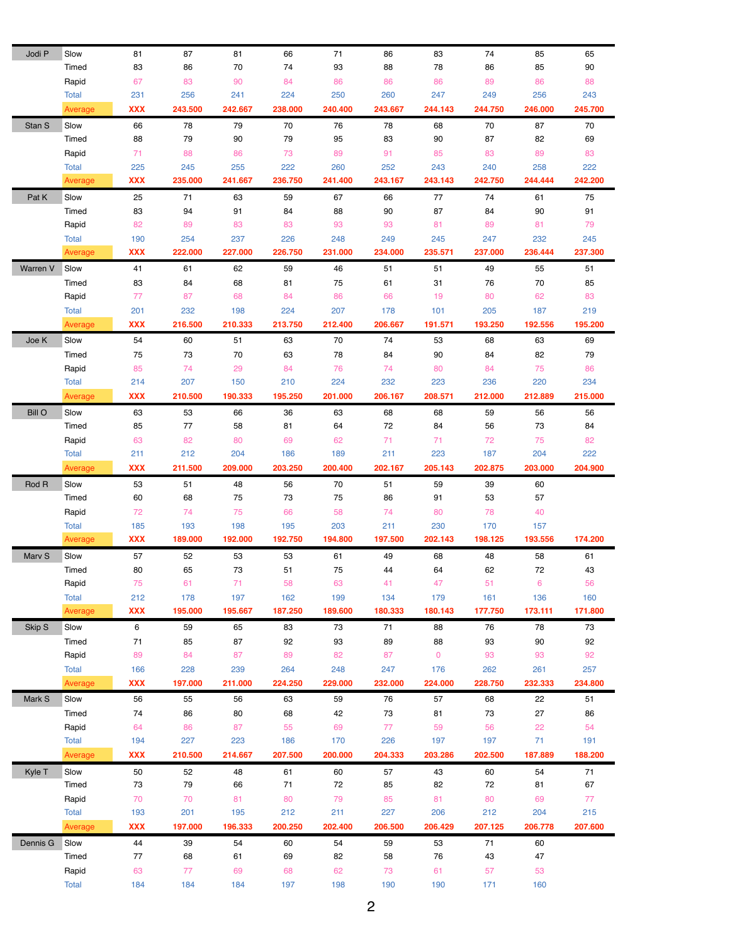| Jodi P        | Slow         | 81         | 87      | 81       | 66       | 71       | 86      | 83          | 74       | 85       | 65       |
|---------------|--------------|------------|---------|----------|----------|----------|---------|-------------|----------|----------|----------|
|               | Timed        | 83         | 86      | 70       | 74       | 93       | 88      | 78          | 86       | 85       | 90       |
|               | Rapid        | 67         | 83      | 90       | 84       | 86       | 86      | 86          | 89       | 86       | 88       |
|               | <b>Total</b> | 231        | 256     | 241      | 224      | 250      | 260     | 247         | 249      | 256      | 243      |
|               | Average      | XXX        | 243.500 | 242.667  | 238,000  | 240.400  | 243.667 | 244.143     | 244.750  | 246.000  | 245.700  |
| Stan S        | Slow         | 66         | 78      | 79       | 70       | 76       | 78      | 68          | 70       | 87       | 70       |
|               | Timed        | 88         | 79      | 90       | 79       | 95       | 83      | 90          | 87       | 82       | 69       |
|               | Rapid        | 71         | 88      | 86       | 73       | 89       | 91      | 85          | 83       | 89       | 83       |
|               | <b>Total</b> | 225        | 245     | 255      | 222      | 260      | 252     | 243         | 240      | 258      | 222      |
|               | Average      | XXX        | 235.000 | 241.667  | 236.750  | 241.400  | 243.167 | 243.143     | 242.750  | 244.444  | 242.200  |
| Pat K         | Slow         | 25         | 71      | 63       | 59       | 67       | 66      | 77          | 74       | 61       | 75       |
|               | Timed        | 83         | 94      |          |          |          | 90      | 87          |          |          |          |
|               | Rapid        | 82         | 89      | 91<br>83 | 84<br>83 | 88<br>93 | 93      | 81          | 84<br>89 | 90<br>81 | 91<br>79 |
|               |              |            |         |          |          |          |         |             |          |          |          |
|               | <b>Total</b> | 190        | 254     | 237      | 226      | 248      | 249     | 245         | 247      | 232      | 245      |
|               | Average      | XXX        | 222.000 | 227.000  | 226.750  | 231.000  | 234.000 | 235.571     | 237.000  | 236.444  | 237.300  |
| Warren V      | Slow         | 41         | 61      | 62       | 59       | 46       | 51      | 51          | 49       | 55       | 51       |
|               | Timed        | 83         | 84      | 68       | 81       | 75       | 61      | 31          | 76       | 70       | 85       |
|               | Rapid        | 77         | 87      | 68       | 84       | 86       | 66      | 19          | 80       | 62       | 83       |
|               | <b>Total</b> | 201        | 232     | 198      | 224      | 207      | 178     | 101         | 205      | 187      | 219      |
|               | Average      | <b>XXX</b> | 216.500 | 210.333  | 213.750  | 212.400  | 206.667 | 191.571     | 193.250  | 192.556  | 195.200  |
| Joe K         | Slow         | 54         | 60      | 51       | 63       | 70       | 74      | 53          | 68       | 63       | 69       |
|               | Timed        | 75         | 73      | 70       | 63       | 78       | 84      | 90          | 84       | 82       | 79       |
|               | Rapid        | 85         | 74      | 29       | 84       | 76       | 74      | 80          | 84       | 75       | 86       |
|               | <b>Total</b> | 214        | 207     | 150      | 210      | 224      | 232     | 223         | 236      | 220      | 234      |
|               | Average      | <b>XXX</b> | 210.500 | 190.333  | 195.250  | 201.000  | 206.167 | 208.571     | 212.000  | 212.889  | 215.000  |
| <b>Bill O</b> | Slow         | 63         | 53      | 66       | 36       | 63       | 68      | 68          | 59       | 56       | 56       |
|               | Timed        | 85         | 77      | 58       | 81       | 64       | 72      | 84          | 56       | 73       | 84       |
|               | Rapid        | 63         | 82      | 80       | 69       | 62       | 71      | 71          | 72       | 75       | 82       |
|               | <b>Total</b> | 211        | 212     | 204      | 186      | 189      | 211     | 223         | 187      | 204      | 222      |
|               | Average      | <b>XXX</b> | 211.500 | 209.000  | 203.250  | 200.400  | 202.167 | 205.143     | 202.875  | 203.000  | 204.900  |
|               |              |            |         | 48       | 56       | 70       | 51      | 59          | 39       | 60       |          |
|               |              |            |         |          |          |          |         |             |          |          |          |
| Rod R         | Slow         | 53         | 51      |          |          |          |         |             |          |          |          |
|               | Timed        | 60         | 68      | 75       | 73       | 75       | 86      | 91          | 53       | 57       |          |
|               | Rapid        | 72         | 74      | 75       | 66       | 58       | 74      | 80          | 78       | 40       |          |
|               | <b>Total</b> | 185        | 193     | 198      | 195      | 203      | 211     | 230         | 170      | 157      |          |
|               | Average      | <b>XXX</b> | 189.000 | 192.000  | 192.750  | 194.800  | 197.500 | 202.143     | 198.125  | 193.556  | 174.200  |
| Marv S        | Slow         | 57         | 52      | 53       | 53       | 61       | 49      | 68          | 48       | 58       | 61       |
|               | Timed        | 80         | 65      | 73       | 51       | 75       | 44      | 64          | 62       | 72       | 43       |
|               | Rapid        | 75         | 61      | 71       | 58       | 63       | 41      | 47          | 51       | 6        | 56       |
|               | <b>Total</b> | 212        | 178     | 197      | 162      | 199      | 134     | 179         | 161      | 136      | 160      |
|               | Average      | <b>XXX</b> | 195.000 | 195.667  | 187.250  | 189.600  | 180.333 | 180.143     | 177.750  | 173.111  | 171.800  |
| Skip S        | Slow         | 6          | 59      | 65       | 83       | 73       | 71      | 88          | 76       | 78       | 73       |
|               | Timed        | 71         | 85      | 87       | 92       | 93       | 89      | 88          | 93       | 90       | 92       |
|               | Rapid        | 89         | 84      | 87       | 89       | 82       | 87      | $\mathbf 0$ | 93       | 93       | 92       |
|               | <b>Total</b> | 166        | 228     | 239      | 264      | 248      | 247     | 176         | 262      | 261      | 257      |
|               | Average      | XXX        | 197.000 | 211.000  | 224.250  | 229.000  | 232.000 | 224.000     | 228.750  | 232.333  | 234.800  |
| Mark S        | Slow         | 56         | 55      | 56       | 63       | 59       | 76      | 57          | 68       | 22       | 51       |
|               | Timed        | 74         | 86      | 80       | 68       | 42       | 73      | 81          | 73       | 27       | 86       |
|               | Rapid        | 64         | 86      | 87       | 55       | 69       | 77      | 59          | 56       | 22       | 54       |
|               | <b>Total</b> | 194        | 227     | 223      | 186      | 170      | 226     | 197         | 197      | 71       | 191      |
|               | Average      | XXX        | 210.500 | 214.667  | 207.500  | 200.000  | 204.333 | 203.286     | 202.500  | 187.889  | 188.200  |
| Kyle T        | Slow         | 50         | 52      | 48       | 61       | 60       | 57      | 43          | 60       | 54       | 71       |
|               | Timed        | 73         | 79      | 66       | 71       | 72       | 85      | 82          | 72       | 81       | 67       |
|               | Rapid        | 70         | 70      | 81       | 80       | 79       | 85      | 81          | 80       | 69       | 77       |
|               | <b>Total</b> | 193        | 201     | 195      | 212      | 211      | 227     | 206         | 212      | 204      | 215      |
|               | Average      | XXX        | 197.000 | 196.333  | 200.250  | 202.400  | 206.500 | 206.429     | 207.125  | 206.778  | 207.600  |
| Dennis G      | Slow         | 44         | 39      | 54       | 60       | 54       | 59      | 53          | 71       | 60       |          |
|               | Timed        | 77         | 68      | 61       | 69       | 82       | 58      | 76          | 43       | 47       |          |
|               | Rapid        | 63         | 77      | 69       | 68       | 62       | 73      | 61          | 57       | 53       |          |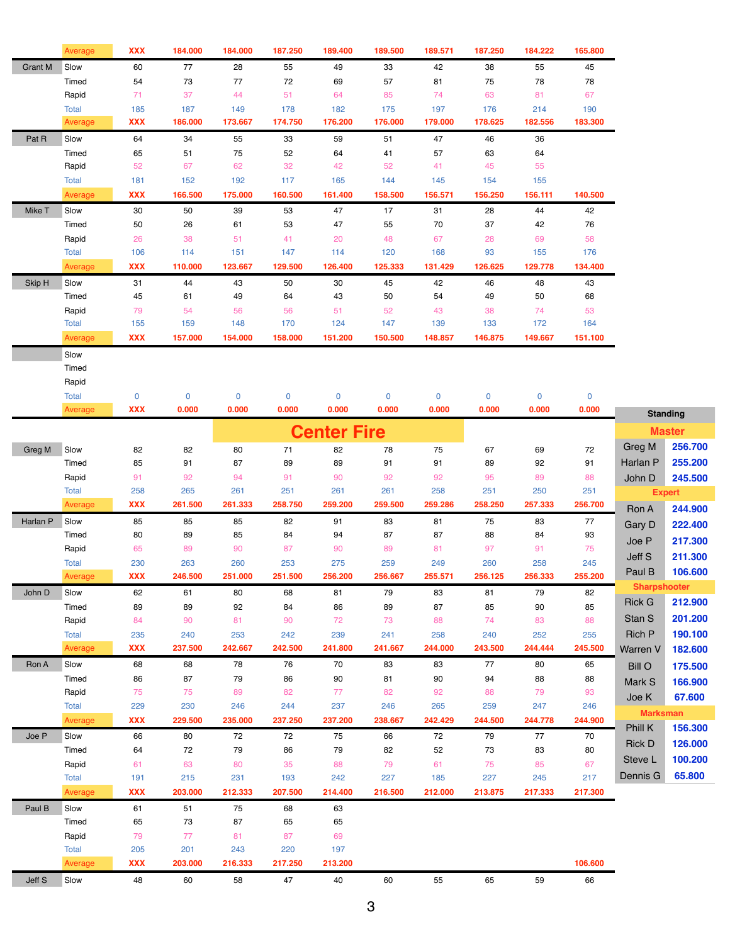|                | Average       | <b>XXX</b> | 184.000     | 184.000   | 187.250   | 189.400            | 189.500     | 189.571 | 187.250   | 184.222 | 165.800     |                     |                 |
|----------------|---------------|------------|-------------|-----------|-----------|--------------------|-------------|---------|-----------|---------|-------------|---------------------|-----------------|
| <b>Grant M</b> | Slow          | 60         | 77          | 28        | 55        | 49                 | 33          | 42      | 38        | 55      | 45          |                     |                 |
|                | Timed         | 54         | 73          | 77        | 72        | 69                 | 57          | 81      | 75        | 78      | 78          |                     |                 |
|                | Rapid         | 71         | 37          | 44        | 51        | 64                 | 85          | 74      | 63        | 81      | 67          |                     |                 |
|                | <b>Total</b>  | 185        | 187         | 149       | 178       | 182                | 175         | 197     | 176       | 214     | 190         |                     |                 |
|                | Average       | <b>XXX</b> | 186.000     | 173.667   | 174.750   | 176.200            | 176.000     | 179.000 | 178.625   | 182.556 | 183.300     |                     |                 |
| Pat R          | Slow          | 64         | 34          | 55        | 33        | 59                 | 51          | 47      | 46        | 36      |             |                     |                 |
|                | Timed         | 65         | 51          | 75        | 52        | 64                 | 41          | 57      | 63        | 64      |             |                     |                 |
|                | Rapid         | 52         | 67          | 62        | 32        | 42                 | 52          | 41      | 45        | 55      |             |                     |                 |
|                | <b>Total</b>  | 181        | 152         | 192       | 117       | 165                | 144         | 145     | 154       | 155     |             |                     |                 |
|                | Average       | <b>XXX</b> | 166.500     | 175.000   | 160.500   | 161.400            | 158.500     | 156.571 | 156.250   | 156.111 | 140.500     |                     |                 |
| Mike T         | Slow          | 30         | 50          | 39        | 53        | 47                 | 17          | 31      | 28        | 44      | 42          |                     |                 |
|                | Timed         | 50         | 26          | 61        | 53        | 47                 | 55          | 70      | 37        | 42      | 76          |                     |                 |
|                | Rapid         | 26         | 38          | 51        | 41        | 20                 | 48          | 67      | 28        | 69      | 58          |                     |                 |
|                | <b>Total</b>  | 106        | 114         | 151       | 147       | 114                | 120         | 168     | 93        | 155     | 176         |                     |                 |
|                | Average       | <b>XXX</b> | 110.000     | 123.667   | 129.500   | 126.400            | 125.333     | 131.429 | 126.625   | 129.778 | 134.400     |                     |                 |
| Skip H         | Slow          | 31         | 44          | 43        | 50        | 30                 | 45          | 42      | 46        | 48      | 43          |                     |                 |
|                | Timed         | 45         | 61          | 49        | 64        | 43                 | 50          | 54      | 49        | 50      | 68          |                     |                 |
|                | Rapid         | 79         | 54          | 56        | 56        | 51                 | 52          | 43      | 38        | 74      | 53          |                     |                 |
|                | <b>Total</b>  | 155        | 159         | 148       | 170       | 124                | 147         | 139     | 133       | 172     | 164         |                     |                 |
|                | Average       | <b>XXX</b> | 157.000     | 154.000   | 158.000   | 151.200            | 150.500     | 148.857 | 146.875   | 149.667 | 151.100     |                     |                 |
|                | Slow          |            |             |           |           |                    |             |         |           |         |             |                     |                 |
|                | Timed         |            |             |           |           |                    |             |         |           |         |             |                     |                 |
|                | Rapid         |            |             |           |           |                    |             |         |           |         |             |                     |                 |
|                | <b>Total</b>  | $\pmb{0}$  | $\mathbf 0$ | $\pmb{0}$ | $\pmb{0}$ | 0                  | $\mathbf 0$ | 0       | $\pmb{0}$ | 0       | $\mathbf 0$ |                     |                 |
|                | Average       | <b>XXX</b> | 0.000       | 0.000     | 0.000     | 0.000              | 0.000       | 0.000   | 0.000     | 0.000   | 0.000       |                     |                 |
|                |               |            |             |           |           |                    |             |         |           |         |             |                     | <b>Standing</b> |
|                |               |            |             |           |           | <b>Center Fire</b> |             |         |           |         |             |                     | <b>Master</b>   |
| Greg M         | Slow          | 82         | 82          | 80        | 71        | 82                 | 78          | 75      | 67        | 69      | 72          | Greg M              | 256.700         |
|                | Timed         | 85         | 91          | 87        | 89        | 89                 | 91          | 91      | 89        | 92      | 91          | Harlan P            | 255.200         |
|                | Rapid         | 91         | 92          | 94        | 91        | 90                 | 92          | 92      | 95        | 89      | 88          | John D              | 245.500         |
|                | <b>Total</b>  | 258        | 265         | 261       | 251       | 261                | 261         | 258     | 251       | 250     | 251         |                     | <b>Expert</b>   |
|                | Average       | <b>XXX</b> | 261.500     | 261.333   | 258.750   | 259.200            | 259.500     | 259.286 | 258.250   | 257.333 | 256.700     | Ron A               | 244.900         |
| Harlan P       | Slow          | 85         | 85          | 85        | 82        | 91                 | 83          | 81      | 75        | 83      | 77          | Gary D              | 222.400         |
|                | Timed         | 80         | 89          | 85        | 84        | 94                 | 87          | 87      | 88        | 84      | 93          |                     |                 |
|                | Rapid         | 65         | 89          | 90        | 87        | 90                 | 89          | 81      | 97        | 91      | 75          | Joe P               | 217.300         |
|                | <b>Total</b>  | 230        | 263         | 260       | 253       | 275                | 259         | 249     | 260       | 258     | 245         | Jeff S              | 211.300         |
|                | Average       | <b>XXX</b> | 246.500     | 251.000   | 251.500   | 256.200            | 256.667     | 255.571 | 256.125   | 256.333 | 255.200     | Paul B              | 106.600         |
| John D         | Slow          | 62         | 61          | 80        | 68        | 81                 | 79          | 83      | 81        | 79      | 82          | <b>Sharpshooter</b> |                 |
|                | Timed         | 89         | 89          | 92        | 84        | 86                 | 89          | 87      | 85        | 90      | 85          | <b>Rick G</b>       | 212.900         |
|                | Rapid         | 84         | 90          | 81        | 90        | 72                 | 73          | 88      | 74        | 83      | 88          | Stan S              | 201.200         |
|                | <b>Total</b>  | 235        | 240         | 253       | 242       | 239                | 241         | 258     | 240       | 252     | 255         | <b>Rich P</b>       | 190.100         |
|                | Average       | <b>XXX</b> | 237.500     | 242.667   | 242.500   | 241.800            | 241.667     | 244.000 | 243.500   | 244.444 | 245.500     | Warren V            | 182.600         |
| Ron A          | Slow          | 68         | 68          | 78        | 76        | 70                 | 83          | 83      | 77        | 80      | 65          | <b>Bill O</b>       | 175.500         |
|                | Timed         | 86         | 87          | 79        | 86        | 90                 | 81          | 90      | 94        | 88      | 88          | Mark S              | 166.900         |
|                | Rapid         | 75         | 75          | 89        | 82        | 77                 | 82          | 92      | 88        | 79      | 93          | Joe K               | 67.600          |
|                | <b>Total</b>  | 229        | 230         | 246       | 244       | 237                | 246         | 265     | 259       | 247     | 246         |                     |                 |
|                | Average       | <b>XXX</b> | 229.500     | 235.000   | 237.250   | 237.200            | 238.667     | 242.429 | 244.500   | 244.778 | 244.900     | <b>Marksman</b>     |                 |
| Joe P          | Slow          | 66         | 80          | 72        | 72        | 75                 | 66          | 72      | 79        | 77      | 70          | Phill K             | 156.300         |
|                | Timed         | 64         | 72          | 79        | 86        | 79                 | 82          | 52      | 73        | 83      | 80          | <b>Rick D</b>       | 126.000         |
|                | Rapid         | 61         | 63          | 80        | 35        | 88                 | 79          | 61      | 75        | 85      | 67          | Steve L             | 100.200         |
|                | <b>Total</b>  | 191        | 215         | 231       | 193       | 242                | 227         | 185     | 227       | 245     | 217         | Dennis G            | 65.800          |
|                | Average       | <b>XXX</b> | 203.000     | 212.333   | 207.500   | 214.400            | 216.500     | 212.000 | 213.875   | 217.333 | 217.300     |                     |                 |
|                |               |            |             |           |           |                    |             |         |           |         |             |                     |                 |
| Paul B         | Slow<br>Timed | 61<br>65   | 51<br>73    | 75<br>87  | 68<br>65  | 63<br>65           |             |         |           |         |             |                     |                 |
|                |               |            |             |           |           |                    |             |         |           |         |             |                     |                 |
|                | Rapid         | 79         | 77          | 81        | 87        | 69                 |             |         |           |         |             |                     |                 |
|                | <b>Total</b>  | 205        | 201         | 243       | 220       | 197                |             |         |           |         |             |                     |                 |
|                | Average       | <b>XXX</b> | 203.000     | 216.333   | 217.250   | 213.200            |             |         |           |         | 106.600     |                     |                 |
| Jeff S         | Slow          | 48         | 60          | 58        | 47        | 40                 | 60          | 55      | 65        | 59      | 66          |                     |                 |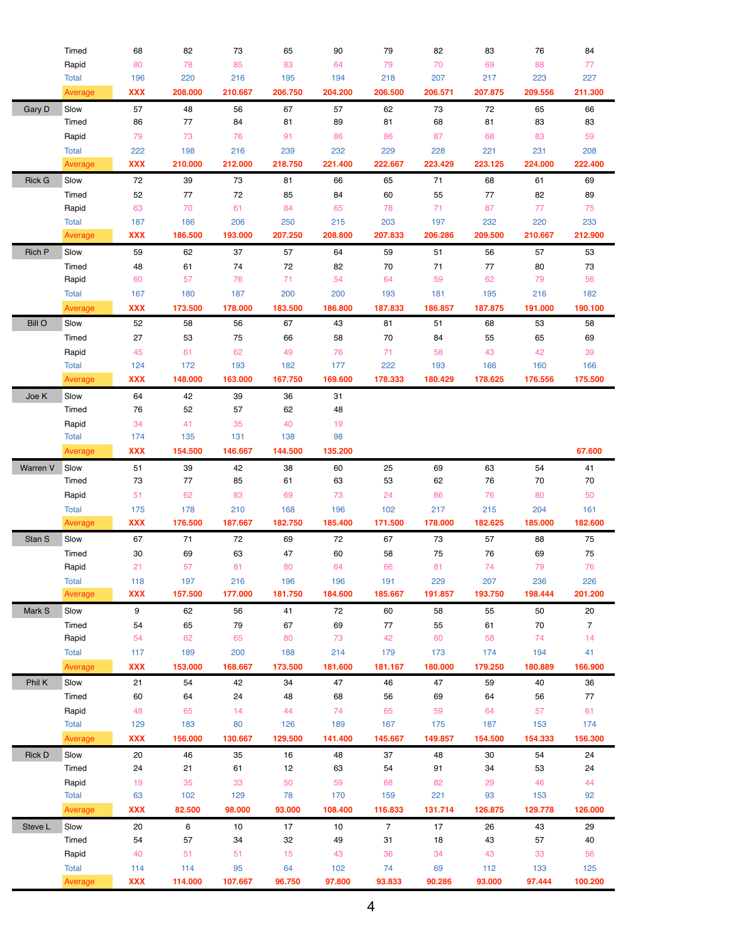|               | Timed                   | 68                | 82             | 73             | 65             | 90            | 79             | 82           | 83              | 76            | 84             |
|---------------|-------------------------|-------------------|----------------|----------------|----------------|---------------|----------------|--------------|-----------------|---------------|----------------|
|               | Rapid                   | 80                | 78             | 85             | 83             | 64            | 79             | 70           | 69              | 88            | 77             |
|               | <b>Total</b>            | 196               | 220            | 216            | 195            | 194           | 218            | 207          | 217             | 223           | 227            |
|               | Average                 | <b>XXX</b>        | 208.000        | 210.667        | 206.750        | 204.200       | 206.500        | 206.571      | 207.875         | 209.556       | 211.300        |
| Gary D        | Slow                    | 57                | 48             | 56             | 67             | 57            | 62             | 73           | 72              | 65            | 66             |
|               | Timed                   | 86                | $77 \,$        | 84             | 81             | 89            | 81             | 68           | 81              | 83            | 83             |
|               | Rapid                   | 79                | 73             | 76             | 91             | 86            | 86             | 87           | 68              | 83            | 59             |
|               | <b>Total</b>            | 222               | 198            | 216            | 239            | 232           | 229            | 228          | 221             | 231           | 208            |
|               | Average                 | <b>XXX</b>        | 210.000        | 212.000        | 218.750        | 221.400       | 222.667        | 223.429      | 223.125         | 224.000       | 222.400        |
|               |                         |                   |                |                |                |               |                |              |                 |               |                |
| <b>Rick G</b> | Slow                    | 72                | 39             | 73             | 81             | 66            | 65             | 71           | 68              | 61            | 69             |
|               | Timed                   | 52                | 77             | 72             | 85             | 84            | 60             | 55           | 77              | 82            | 89             |
|               | Rapid                   | 63                | $70\,$         | 61             | 84             | 65            | 78             | 71           | 87              | 77            | 75             |
|               | <b>Total</b>            | 187               | 186            | 206            | 250            | 215           | 203            | 197          | 232             | 220           | 233            |
|               | Average                 | <b>XXX</b>        | 186.500        | 193.000        | 207.250        | 208.800       | 207.833        | 206.286      | 209.500         | 210.667       | 212.900        |
| <b>Rich P</b> | Slow                    | 59                | 62             | 37             | 57             | 64            | 59             | 51           | 56              | 57            | 53             |
|               | Timed                   | 48                | 61             | 74             | 72             | 82            | 70             | 71           | 77              | 80            | 73             |
|               | Rapid                   | 60                | 57             | 76             | 71             | 54            | 64             | 59           | 62              | 79            | 56             |
|               | <b>Total</b>            | 167               | 180            | 187            | 200            | 200           | 193            | 181          | 195             | 216           | 182            |
|               | Average                 | <b>XXX</b>        | 173.500        | 178.000        | 183.500        | 186.800       | 187.833        | 186.857      | 187.875         | 191.000       | 190.100        |
| <b>Bill O</b> | Slow                    | 52                | 58             | 56             | 67             | 43            | 81             | 51           | 68              | 53            | 58             |
|               | Timed                   | 27                | 53             | 75             | 66             | 58            | 70             | 84           | 55              | 65            | 69             |
|               | Rapid                   | 45                | 61             | 62             | 49             | 76            | 71             | 58           | 43              | 42            | 39             |
|               | <b>Total</b>            | 124               | 172            | 193            | 182            | 177           | 222            | 193          | 166             | 160           | 166            |
|               | Average                 | <b>XXX</b>        | 148.000        | 163.000        | 167.750        | 169.600       | 178.333        | 180.429      | 178.625         | 176.556       | 175.500        |
| Joe K         | Slow                    | 64                | 42             | 39             | 36             | 31            |                |              |                 |               |                |
|               | Timed                   | 76                | 52             | 57             | 62             | 48            |                |              |                 |               |                |
|               | Rapid                   | 34                | 41             | 35             | 40             | 19            |                |              |                 |               |                |
|               | <b>Total</b>            | 174               | 135            | 131            | 138            | 98            |                |              |                 |               |                |
|               | Average                 | <b>XXX</b>        | 154.500        | 146.667        | 144.500        | 135.200       |                |              |                 |               | 67.600         |
|               |                         | 51                | 39             | 42             | 38             | 60            | 25             | 69           | 63              |               |                |
| Warren V      | Slow<br>Timed           | 73                | 77             | 85             | 61             | 63            | 53             | 62           | 76              | 54<br>70      | 41<br>70       |
|               |                         |                   |                |                |                |               |                |              |                 |               |                |
|               | Rapid                   | 51                | 62             | 83             | 69             | 73            | 24             | 86           | 76              | 80            | 50             |
|               | <b>Total</b>            | 175               | 178            | 210<br>187.667 | 168<br>182.750 | 196           | 102            | 217          | 215             | 204           | 161            |
|               |                         |                   |                |                |                | 185.400       | 171.500        | 178.000      | 182.625         | 185.000       | 182.600        |
|               | Average                 | <b>XXX</b>        | 176.500        |                |                |               |                |              |                 |               | 75             |
| Stan S        | Slow                    | 67                | 71             | 72             | 69             | 72            | 67             | 73           | 57              | 88            |                |
|               | Timed                   | 30                | 69             | 63             | 47             | 60            | 58             | 75           | 76              | 69            | 75             |
|               | Rapid                   | 21                | 57             | 81             | 80             | 64            | 66             | 81           | 74              | 79            | 76             |
|               | <b>Total</b>            | 118               | 197            | 216            | 196            | 196           | 191            | 229          | 207             | 236           | 226            |
|               | Average                 | XXX               | 157.500        | 177.000        | 181.750        | 184.600       | 185.667        | 191.857      | 193.750         | 198.444       | 201.200        |
| Mark S        | Slow                    | 9                 | 62             | 56             | 41             | 72            | 60             | 58           | 55              | 50            | 20             |
|               | Timed                   | 54                | 65             | 79             | 67             | 69            | 77             | 55           | 61              | 70            | $\overline{7}$ |
|               | Rapid                   | 54                | 62             | 65             | 80             | 73            | 42             | 60           | 58              | 74            | 14             |
|               | <b>Total</b>            | 117               | 189            | 200            | 188            | 214           | 179            | 173          | 174             | 194           | 41             |
|               | Average                 | <b>XXX</b>        | 153.000        | 168.667        | 173.500        | 181.600       | 181.167        | 180.000      | 179.250         | 180.889       | 166.900        |
| Phil K        | Slow                    | 21                | 54             | 42             | 34             | 47            | 46             | 47           | 59              | 40            | 36             |
|               | Timed                   | 60                | 64             | 24             | 48             | 68            | 56             | 69           | 64              | 56            | 77             |
|               | Rapid                   | 48                | 65             | 14             | 44             | 74            | 65             | 59           | 64              | 57            | 61             |
|               | <b>Total</b>            | 129               | 183            | 80             | 126            | 189           | 167            | 175          | 187             | 153           | 174            |
|               | Average                 | <b>XXX</b>        | 156.000        | 130.667        | 129.500        | 141.400       | 145.667        | 149.857      | 154.500         | 154.333       | 156.300        |
|               |                         |                   |                |                |                |               |                |              |                 |               |                |
| <b>Rick D</b> | Slow                    | 20                | 46             | 35             | 16             | 48            | 37             | 48           | 30              | 54            | 24             |
|               | Timed                   | 24                | 21             | 61             | 12             | 63            | 54             | 91           | 34              | 53            | 24             |
|               | Rapid                   | 19                | 35             | 33             | 50             | 59            | 68             | 82           | 29              | 46            | 44             |
|               | <b>Total</b>            | 63                | 102            | 129            | 78             | 170           | 159            | 221          | 93              | 153           | 92             |
|               | Average                 | <b>XXX</b>        | 82.500         | 98.000         | 93.000         | 108.400       | 116.833        | 131.714      | 126.875         | 129.778       | 126.000        |
| Steve L       | Slow                    | 20                | 6              | $10$           | 17             | $10$          | $\overline{7}$ | 17           | 26              | 43            | 29             |
|               | Timed                   | 54                | 57             | 34             | 32             | 49            | 31             | 18           | 43              | 57            | 40             |
|               | Rapid                   | 40                | 51             | 51             | 15             | 43            | 36             | 34           | 43              | 33            | 56             |
|               | <b>Total</b><br>Average | 114<br><b>XXX</b> | 114<br>114.000 | 95<br>107.667  | 64<br>96.750   | 102<br>97.800 | 74<br>93.833   | 69<br>90.286 | $112$<br>93.000 | 133<br>97.444 | 125<br>100.200 |